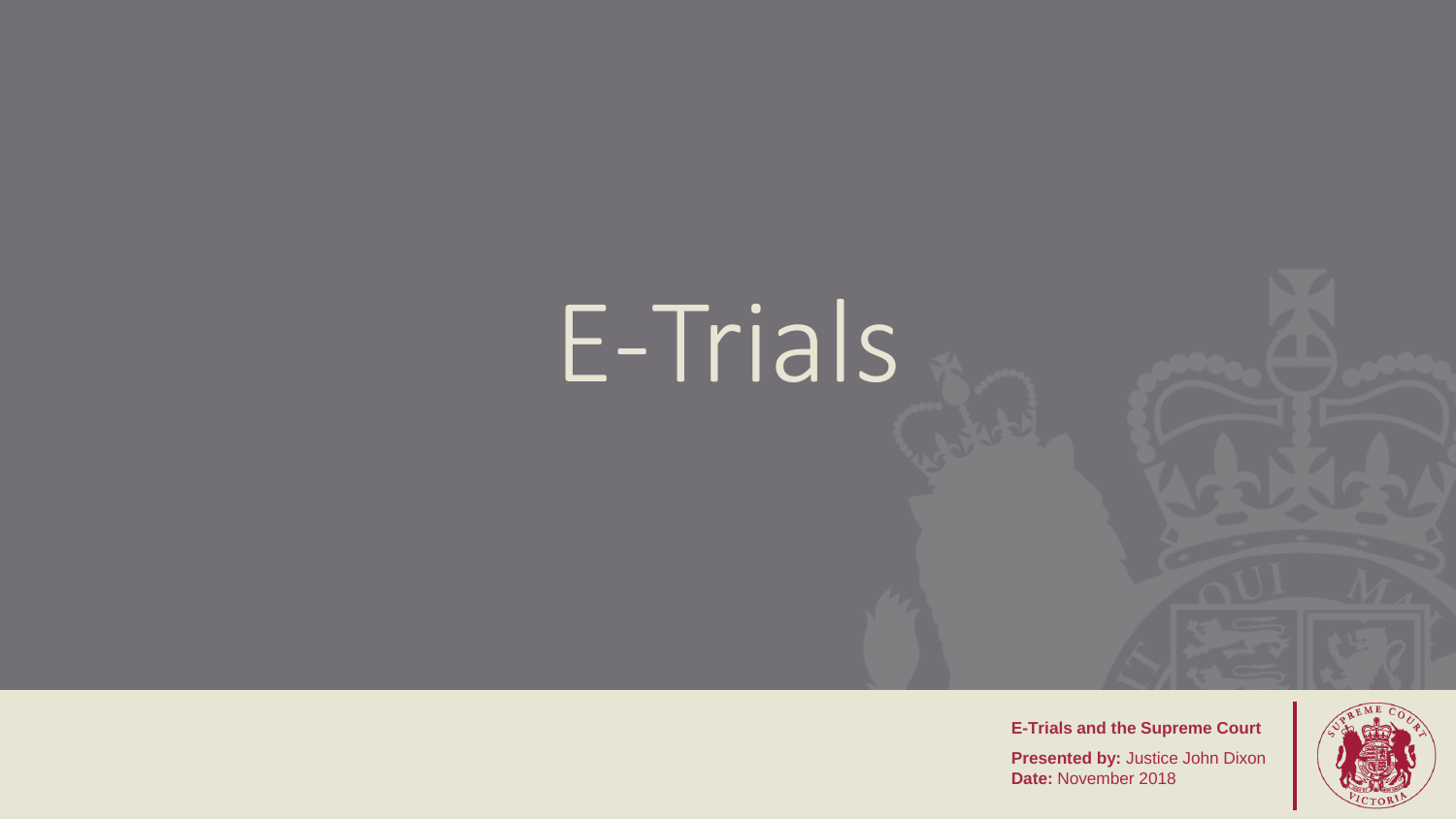# E-Trials

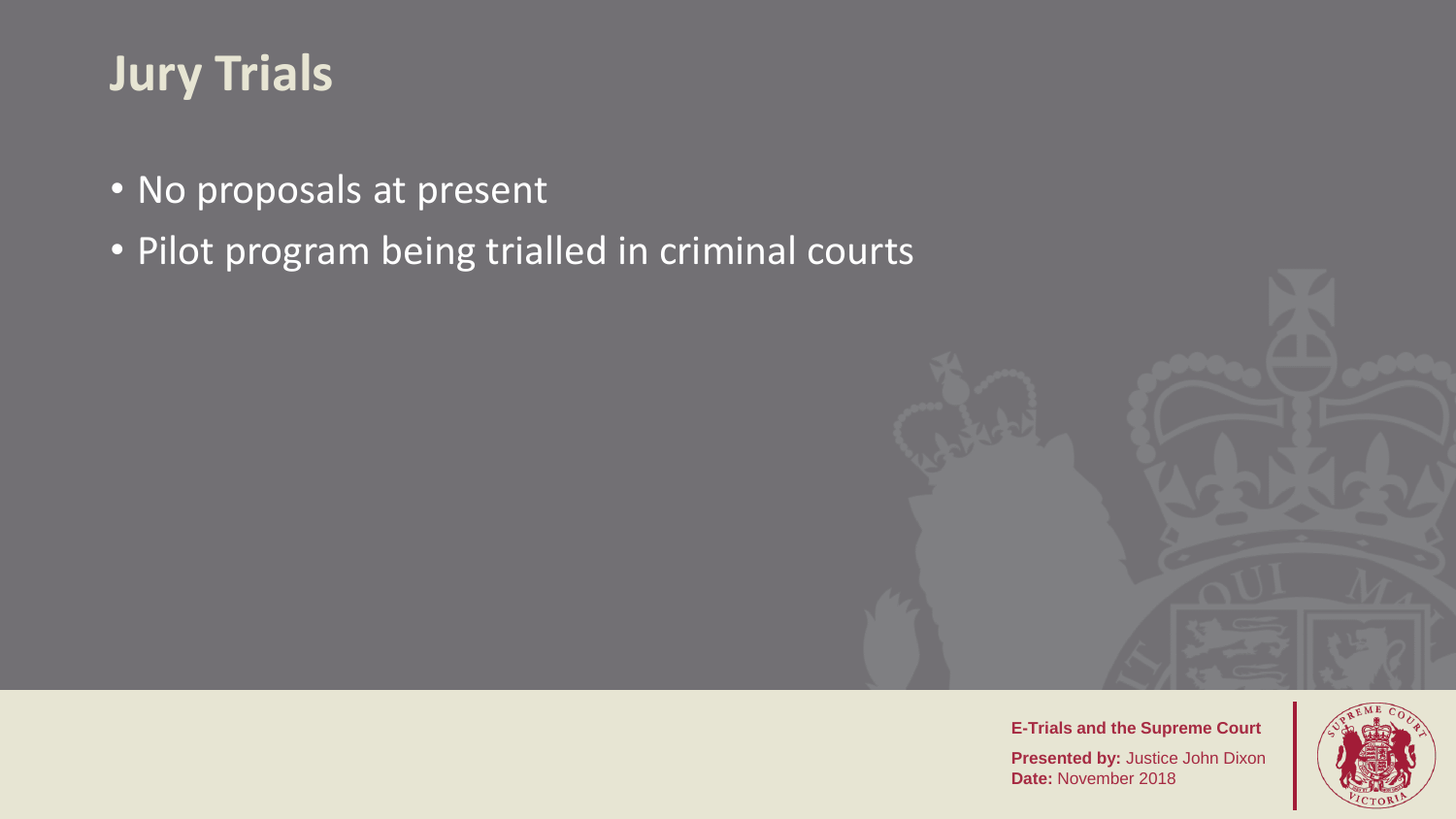### **Jury Trials**

- No proposals at present
- Pilot program being trialled in criminal courts



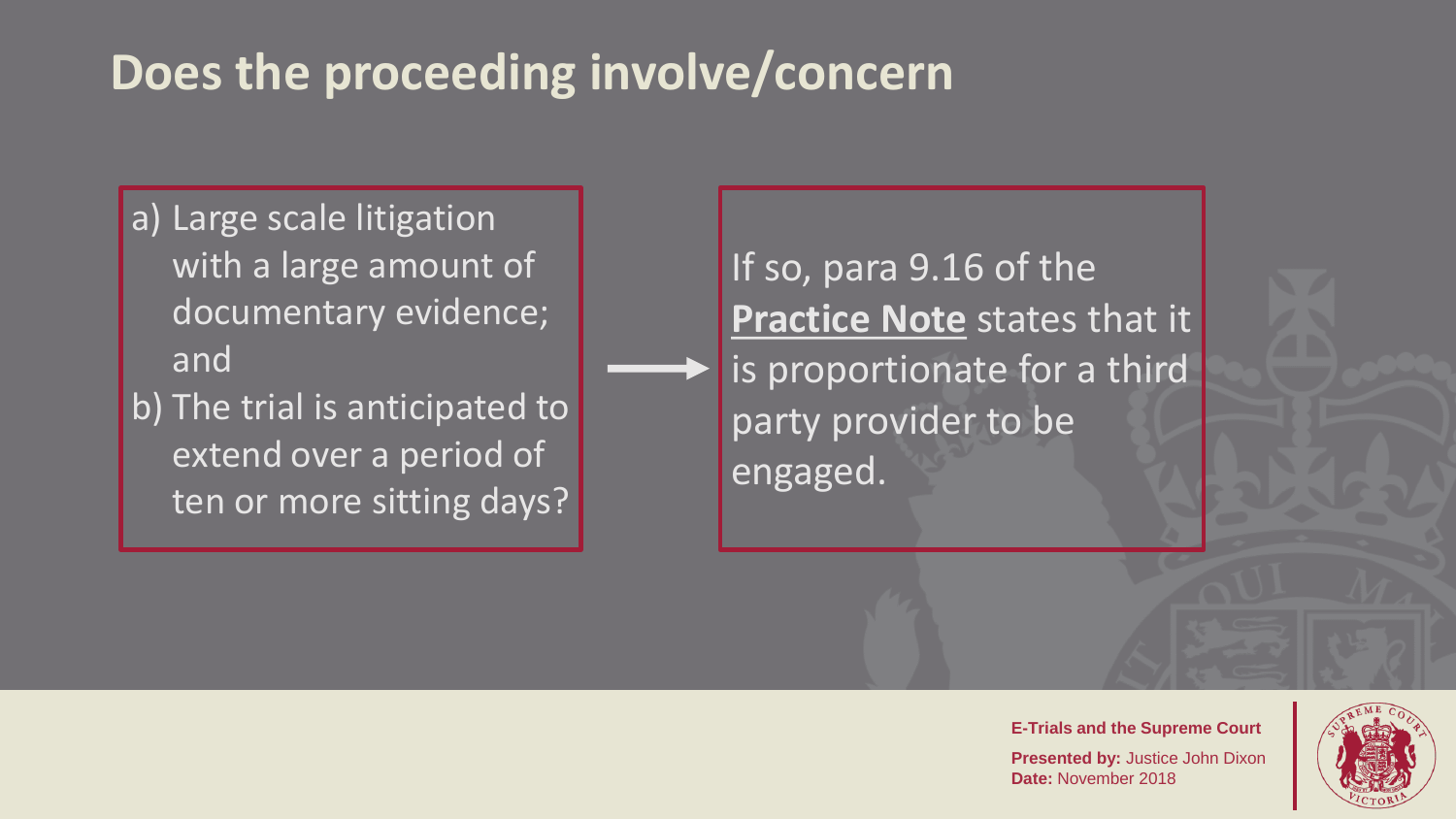### **Does the proceeding involve/concern**

- a) Large scale litigation with a large amount of documentary evidence; and
- b) The trial is anticipated to extend over a period of ten or more sitting days?

If so, para 9.16 of the **Practice Note** states that it is proportionate for a third party provider to be engaged.

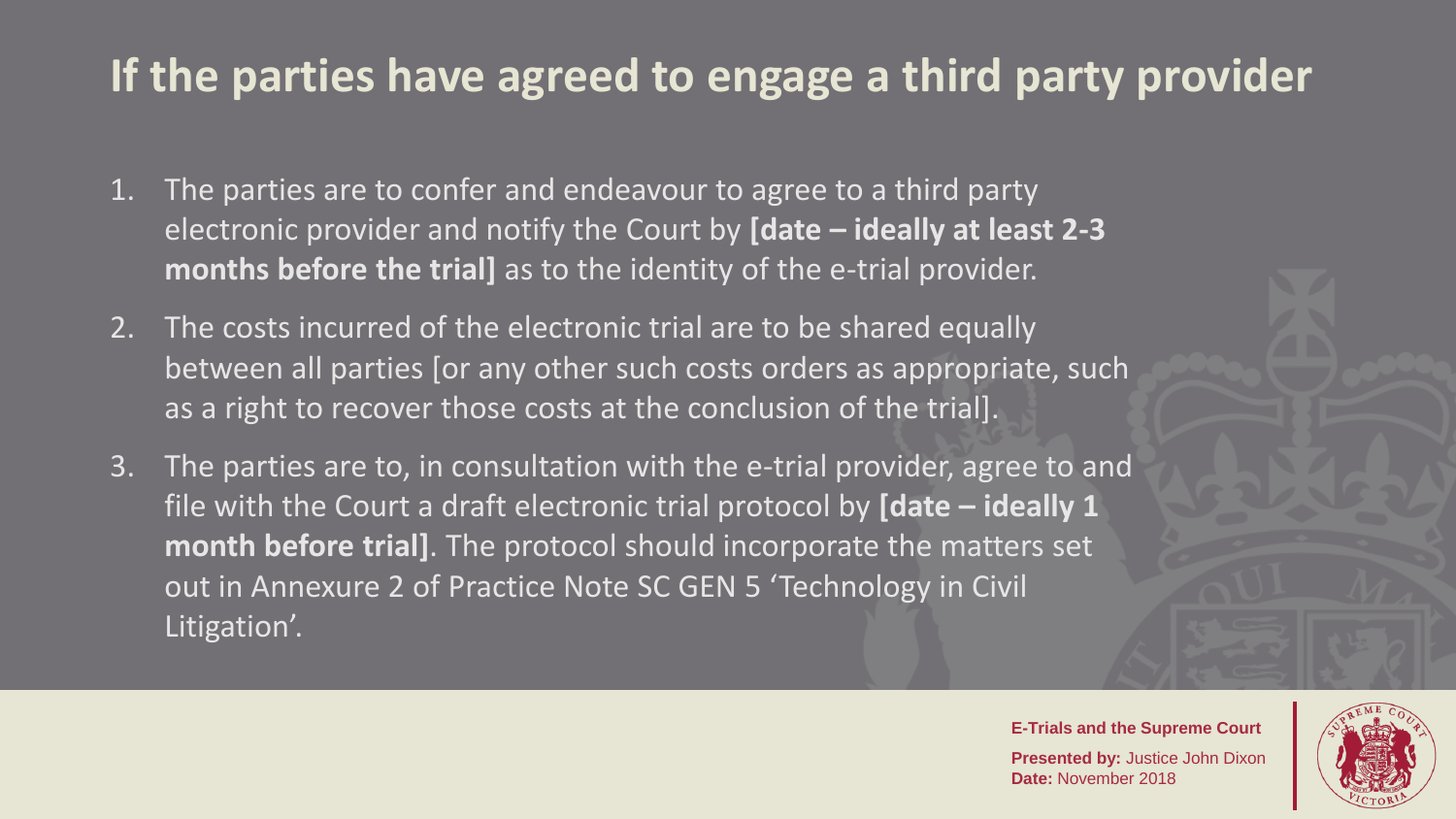#### **If the parties have agreed to engage a third party provider**

- 1. The parties are to confer and endeavour to agree to a third party electronic provider and notify the Court by **[date – ideally at least 2-3 months before the trial]** as to the identity of the e-trial provider.
- 2. The costs incurred of the electronic trial are to be shared equally between all parties [or any other such costs orders as appropriate, such as a right to recover those costs at the conclusion of the trial].
- 3. The parties are to, in consultation with the e-trial provider, agree to and file with the Court a draft electronic trial protocol by **[date – ideally 1 month before trial]**. The protocol should incorporate the matters set out in Annexure 2 of Practice Note SC GEN 5 'Technology in Civil Litigation<sup>7</sup>.

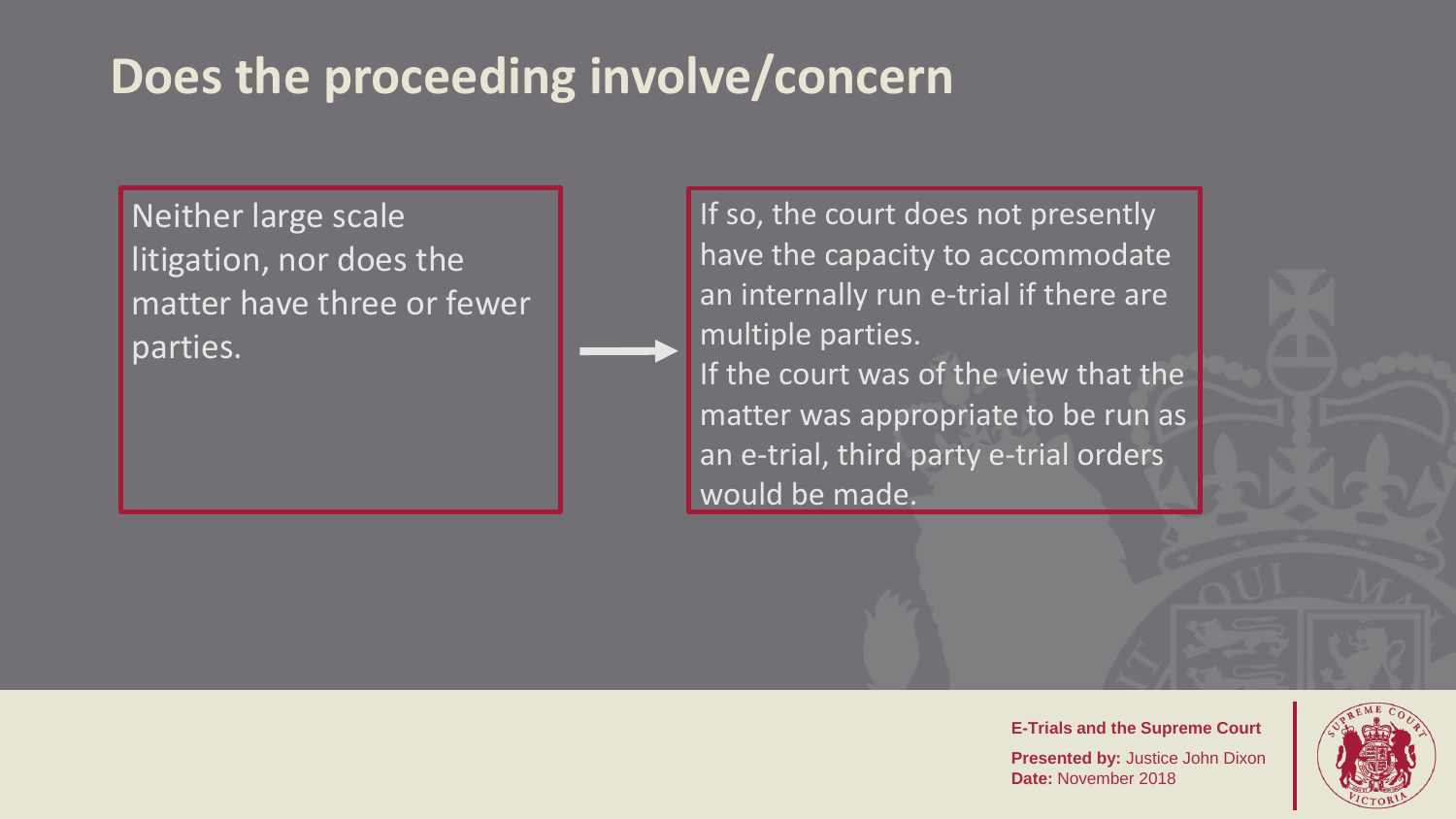#### **Does the proceeding involve/concern**

Neither large scale litigation, nor does the matter have three or fewer parties.

If so, the court does not presently have the capacity to accommodate an internally run e-trial if there are multiple parties.

If the court was of the view that the matter was appropriate to be run as an e-trial, third party e-trial orders would be made.

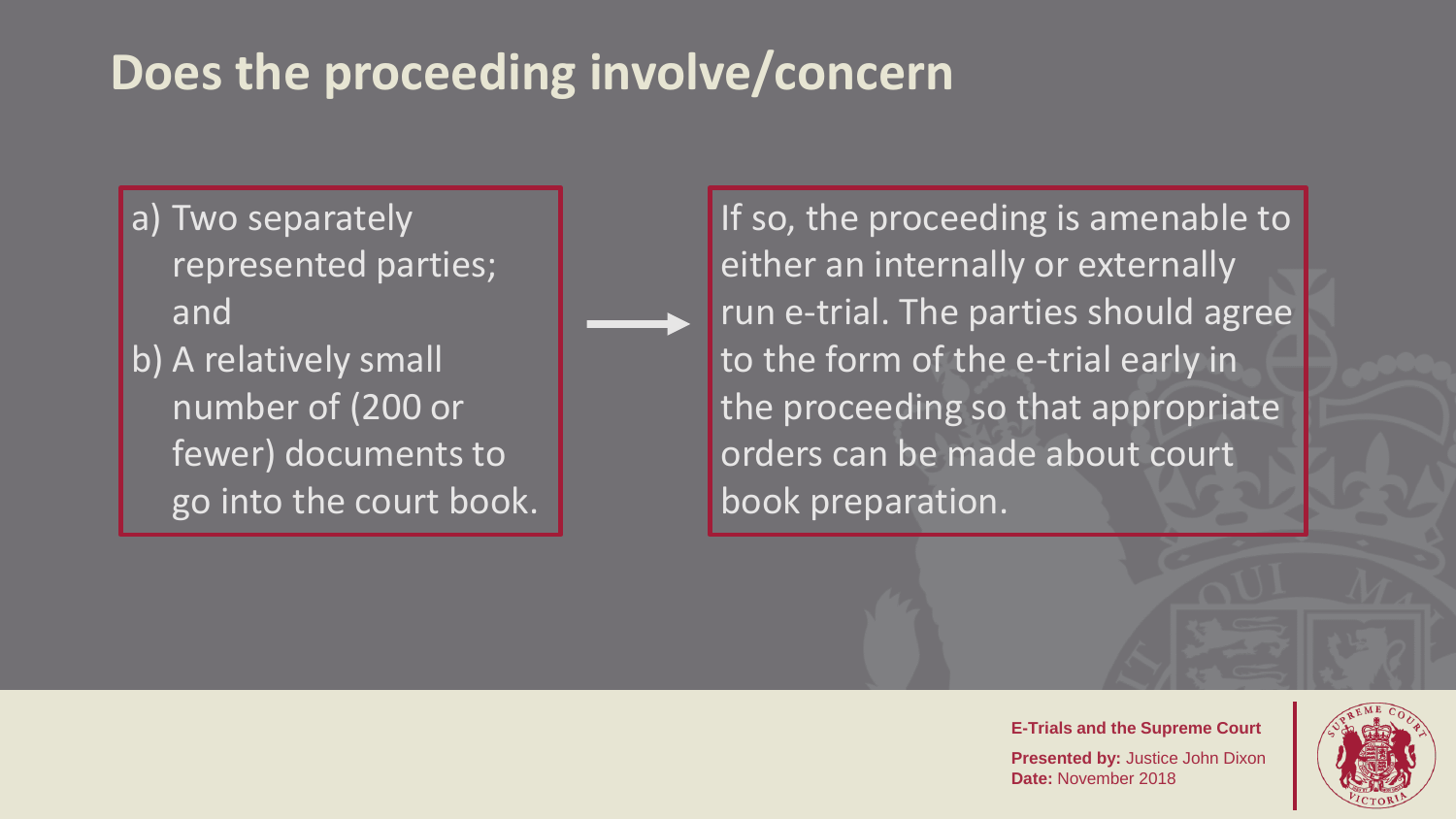### **Does the proceeding involve/concern**

a) Two separately represented parties; and b) A relatively small number of (200 or fewer) documents to go into the court book. If so, the proceeding is amenable to either an internally or externally run e-trial. The parties should agree to the form of the e-trial early in the proceeding so that appropriate orders can be made about court book preparation.

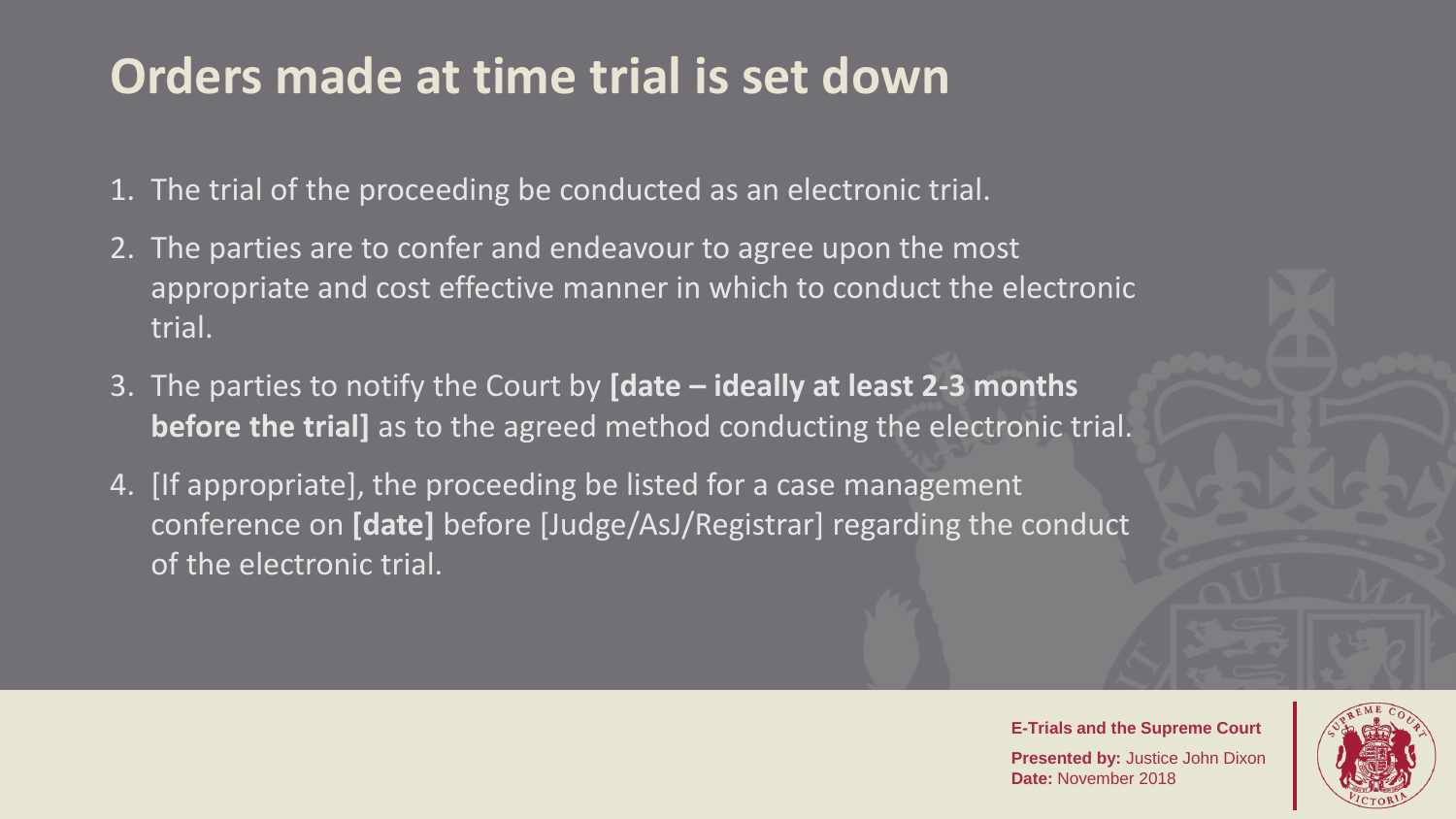### **Orders made at time trial is set down**

- 1. The trial of the proceeding be conducted as an electronic trial.
- 2. The parties are to confer and endeavour to agree upon the most appropriate and cost effective manner in which to conduct the electronic trial.
- 3. The parties to notify the Court by **[date – ideally at least 2-3 months before the trial]** as to the agreed method conducting the electronic trial.
- 4. [If appropriate], the proceeding be listed for a case management conference on **[date]** before [Judge/AsJ/Registrar] regarding the conduct of the electronic trial.

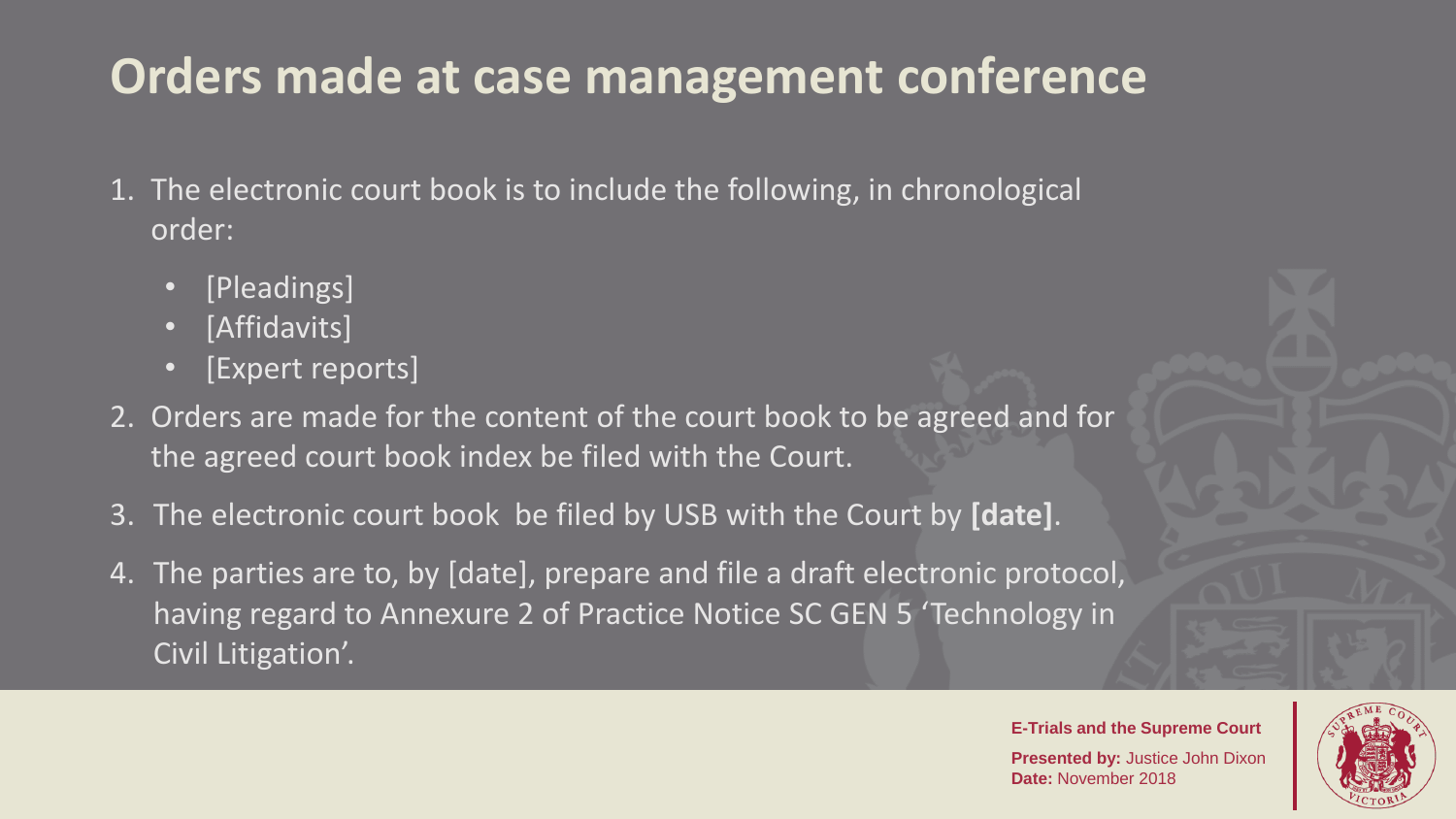## **Orders made at case management conference**

- 1. The electronic court book is to include the following, in chronological order:
	- [Pleadings]
	- [Affidavits]
	- [Expert reports]
- 2. Orders are made for the content of the court book to be agreed and for the agreed court book index be filed with the Court.
- 3. The electronic court book be filed by USB with the Court by **[date]**.
- 4. The parties are to, by [date], prepare and file a draft electronic protocol, having regard to Annexure 2 of Practice Notice SC GEN 5 'Technology in Civil Litigation'.

**E-Trials and the Supreme Court Presented by:** Justice John Dixon

**Date:** November 2018

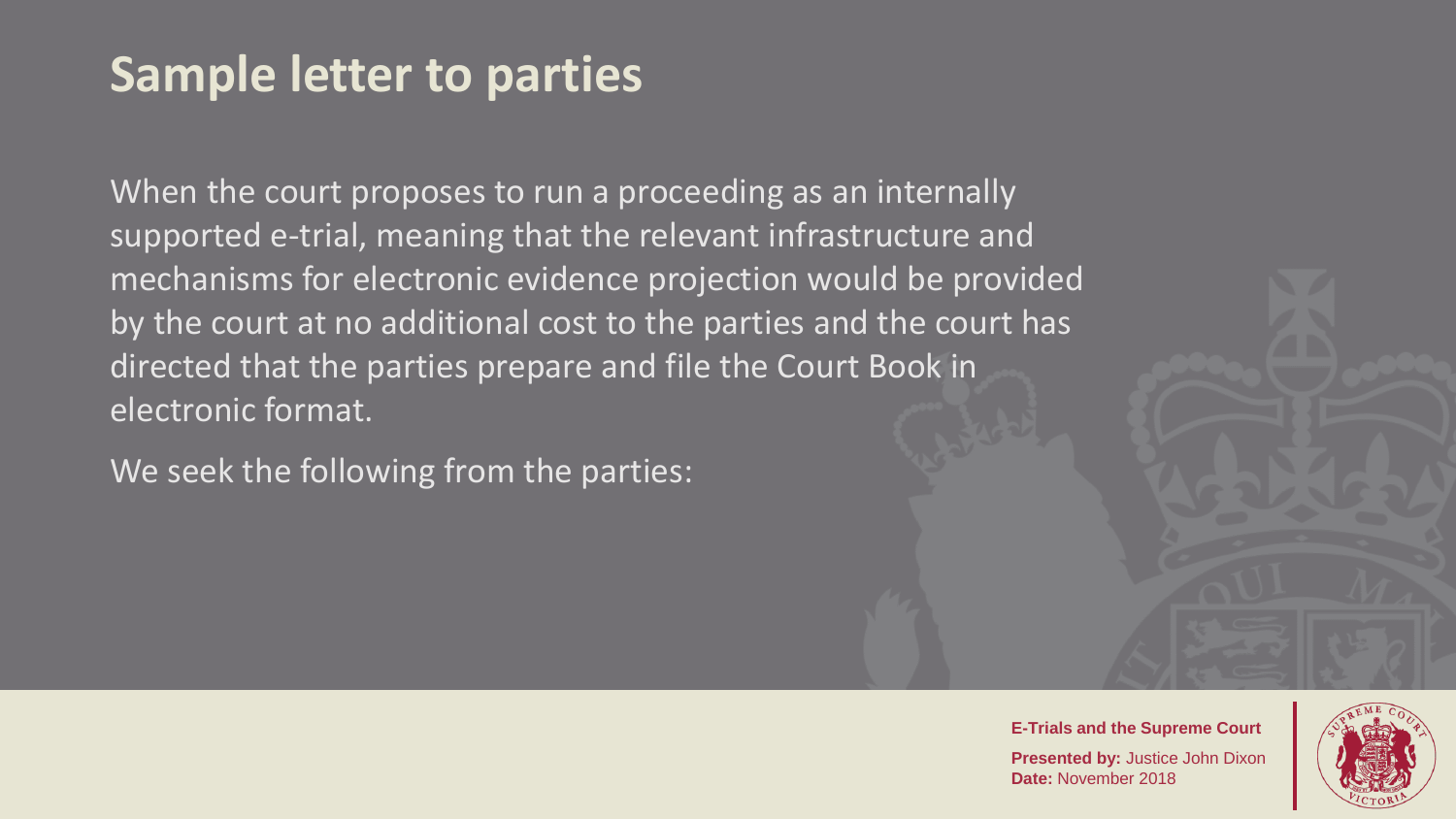#### **Sample letter to parties**

When the court proposes to run a proceeding as an internally supported e-trial, meaning that the relevant infrastructure and mechanisms for electronic evidence projection would be provided by the court at no additional cost to the parties and the court has directed that the parties prepare and file the Court Book in electronic format.

We seek the following from the parties:

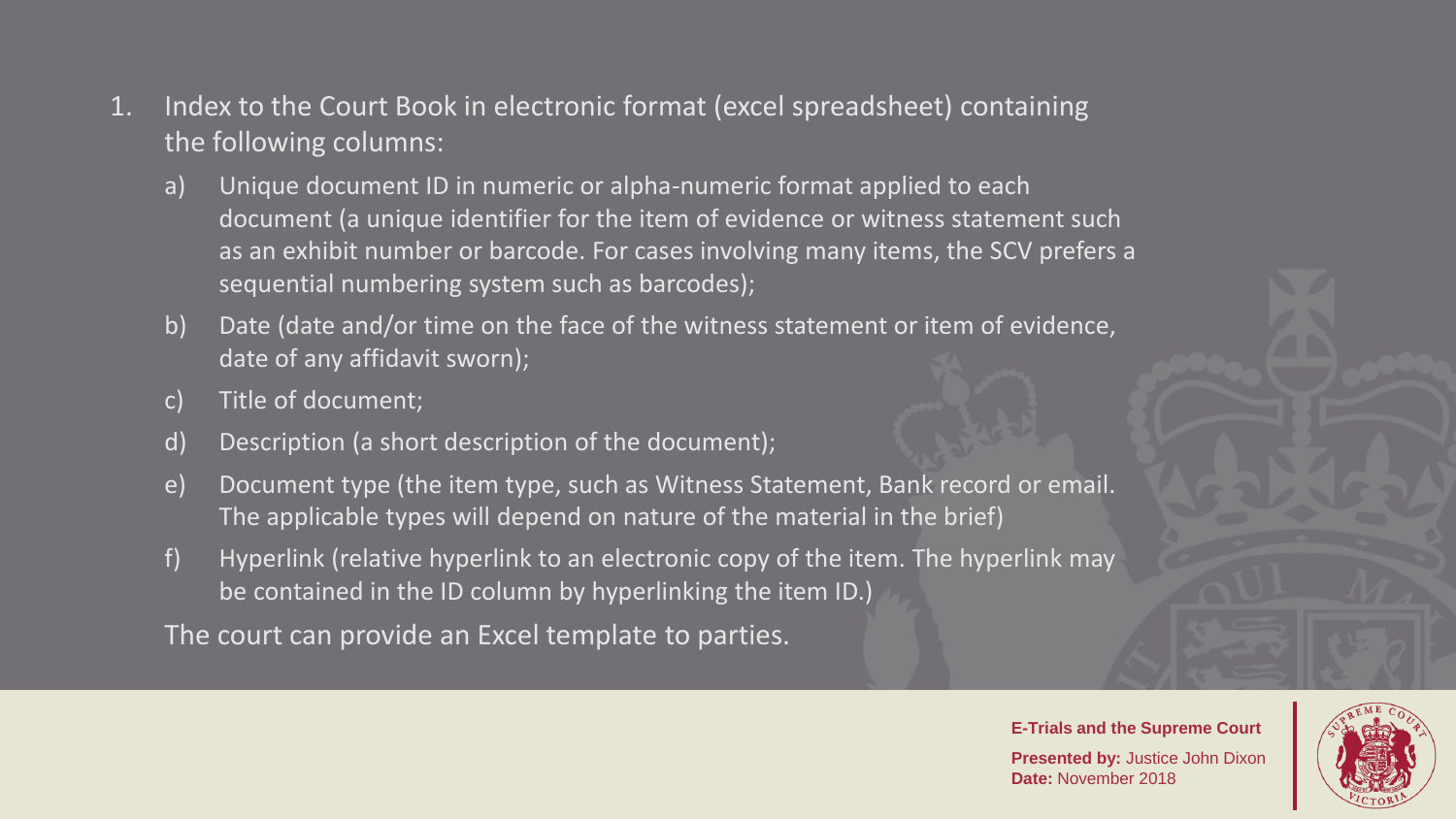- 1. Index to the Court Book in electronic format (excel spreadsheet) containing the following columns:
	- a) Unique document ID in numeric or alpha-numeric format applied to each document (a unique identifier for the item of evidence or witness statement such as an exhibit number or barcode. For cases involving many items, the SCV prefers a sequential numbering system such as barcodes);
	- b) Date (date and/or time on the face of the witness statement or item of evidence, date of any affidavit sworn);
	- c) Title of document;
	- d) Description (a short description of the document);
	- e) Document type (the item type, such as Witness Statement, Bank record or email. The applicable types will depend on nature of the material in the brief)
	- f) Hyperlink (relative hyperlink to an electronic copy of the item. The hyperlink may be contained in the ID column by hyperlinking the item ID.)

The court can provide an Excel template to parties.